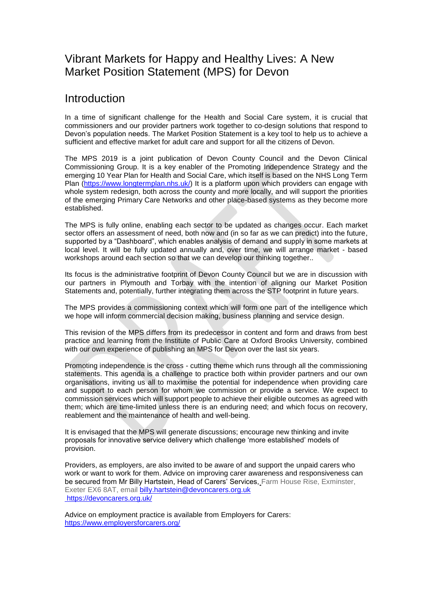## Vibrant Markets for Happy and Healthy Lives: A New Market Position Statement (MPS) for Devon

## Introduction

In a time of significant challenge for the Health and Social Care system, it is crucial that commissioners and our provider partners work together to co-design solutions that respond to Devon's population needs. The Market Position Statement is a key tool to help us to achieve a sufficient and effective market for adult care and support for all the citizens of Devon.

The MPS 2019 is a joint publication of Devon County Council and the Devon Clinical Commissioning Group. It is a key enabler of the Promoting Independence Strategy and the emerging 10 Year Plan for Health and Social Care, which itself is based on the NHS Long Term Plan [\(https://www.longtermplan.nhs.uk/\)](https://www.longtermplan.nhs.uk/) It is a platform upon which providers can engage with whole system redesign, both across the county and more locally, and will support the priorities of the emerging Primary Care Networks and other place-based systems as they become more established.

The MPS is fully online, enabling each sector to be updated as changes occur. Each market sector offers an assessment of need, both now and (in so far as we can predict) into the future, supported by a "Dashboard", which enables analysis of demand and supply in some markets at local level. It will be fully updated annually and, over time, we will arrange market - based workshops around each section so that we can develop our thinking together..

Its focus is the administrative footprint of Devon County Council but we are in discussion with our partners in Plymouth and Torbay with the intention of aligning our Market Position Statements and, potentially, further integrating them across the STP footprint in future years.

The MPS provides a commissioning context which will form one part of the intelligence which we hope will inform commercial decision making, business planning and service design.

This revision of the MPS differs from its predecessor in content and form and draws from best practice and learning from the Institute of Public Care at Oxford Brooks University, combined with our own experience of publishing an MPS for Devon over the last six years.

Promoting independence is the cross - cutting theme which runs through all the commissioning statements. This agenda is a challenge to practice both within provider partners and our own organisations, inviting us all to maximise the potential for independence when providing care and support to each person for whom we commission or provide a service. We expect to commission services which will support people to achieve their eligible outcomes as agreed with them; which are time-limited unless there is an enduring need; and which focus on recovery, reablement and the maintenance of health and well-being.

It is envisaged that the MPS will generate discussions; encourage new thinking and invite proposals for innovative service delivery which challenge 'more established' models of provision.

Providers, as employers, are also invited to be aware of and support the unpaid carers who work or want to work for them. Advice on improving carer awareness and responsiveness can be secured from Mr Billy Hartstein, Head of Carers' Services, Farm House Rise, Exminster, Exeter EX6 8AT, email [billy.hartstein@devoncarers.org.uk](mailto:billy.hartstein@devoncarers.org.uk) <https://devoncarers.org.uk/>

Advice on employment practice is available from Employers for Carers: <https://www.employersforcarers.org/>